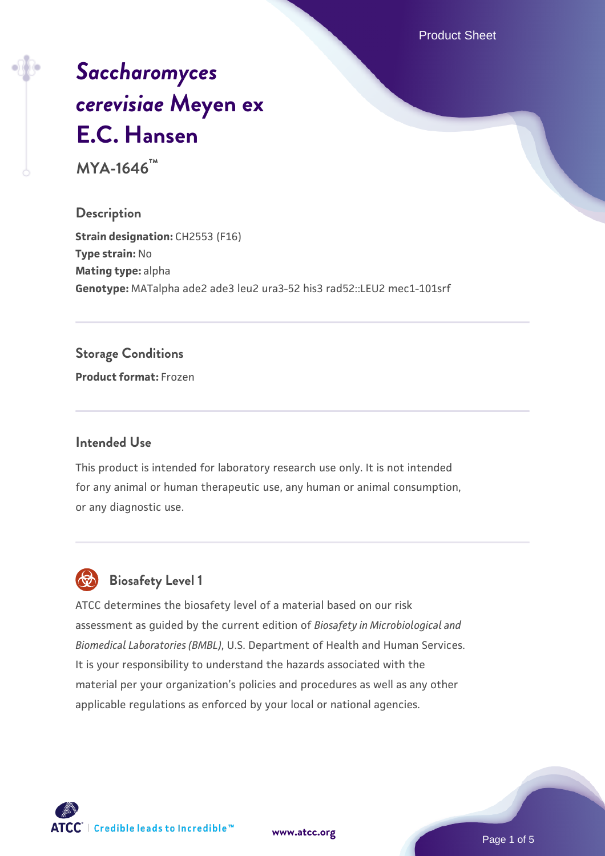Product Sheet

# *[Saccharomyces](https://www.atcc.org/products/mya-1646) [cerevisiae](https://www.atcc.org/products/mya-1646)* **[Meyen ex](https://www.atcc.org/products/mya-1646) [E.C. Hansen](https://www.atcc.org/products/mya-1646)**

**MYA-1646™**

### **Description**

**Strain designation: CH2553 (F16) Type strain:** No **Mating type:** alpha **Genotype:** MATalpha ade2 ade3 leu2 ura3-52 his3 rad52::LEU2 mec1-101srf

#### **Storage Conditions**

**Product format:** Frozen

#### **Intended Use**

This product is intended for laboratory research use only. It is not intended for any animal or human therapeutic use, any human or animal consumption, or any diagnostic use.

## **Biosafety Level 1**

ATCC determines the biosafety level of a material based on our risk assessment as guided by the current edition of *Biosafety in Microbiological and Biomedical Laboratories (BMBL)*, U.S. Department of Health and Human Services. It is your responsibility to understand the hazards associated with the material per your organization's policies and procedures as well as any other applicable regulations as enforced by your local or national agencies.

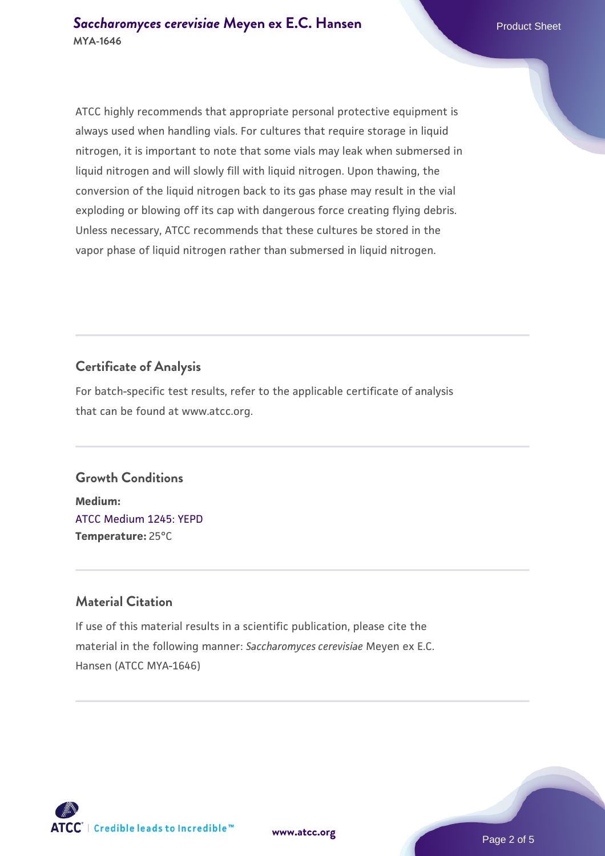ATCC highly recommends that appropriate personal protective equipment is always used when handling vials. For cultures that require storage in liquid nitrogen, it is important to note that some vials may leak when submersed in liquid nitrogen and will slowly fill with liquid nitrogen. Upon thawing, the conversion of the liquid nitrogen back to its gas phase may result in the vial exploding or blowing off its cap with dangerous force creating flying debris. Unless necessary, ATCC recommends that these cultures be stored in the vapor phase of liquid nitrogen rather than submersed in liquid nitrogen.

### **Certificate of Analysis**

For batch-specific test results, refer to the applicable certificate of analysis that can be found at www.atcc.org.

## **Growth Conditions**

**Medium:**  [ATCC Medium 1245: YEPD](https://www.atcc.org/-/media/product-assets/documents/microbial-media-formulations/1/2/4/5/atcc-medium-1245.pdf?rev=705ca55d1b6f490a808a965d5c072196) **Temperature:** 25°C

### **Material Citation**

If use of this material results in a scientific publication, please cite the material in the following manner: *Saccharomyces cerevisiae* Meyen ex E.C. Hansen (ATCC MYA-1646)

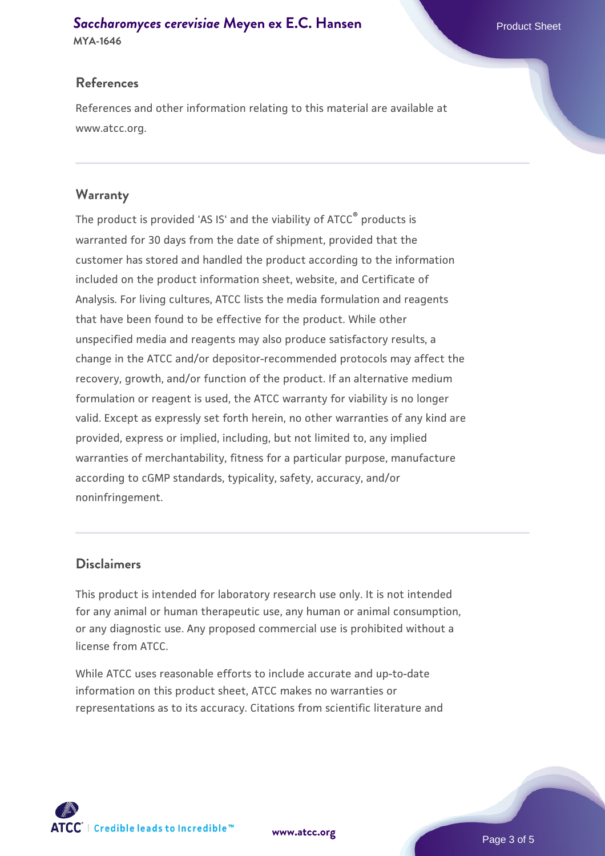# **[Saccharomyces cerevisiae](https://www.atcc.org/products/mya-1646)** [Meyen ex E.C. Hansen](https://www.atcc.org/products/mya-1646)

**MYA-1646**

#### **References**

References and other information relating to this material are available at www.atcc.org.

#### **Warranty**

The product is provided 'AS IS' and the viability of ATCC® products is warranted for 30 days from the date of shipment, provided that the customer has stored and handled the product according to the information included on the product information sheet, website, and Certificate of Analysis. For living cultures, ATCC lists the media formulation and reagents that have been found to be effective for the product. While other unspecified media and reagents may also produce satisfactory results, a change in the ATCC and/or depositor-recommended protocols may affect the recovery, growth, and/or function of the product. If an alternative medium formulation or reagent is used, the ATCC warranty for viability is no longer valid. Except as expressly set forth herein, no other warranties of any kind are provided, express or implied, including, but not limited to, any implied warranties of merchantability, fitness for a particular purpose, manufacture according to cGMP standards, typicality, safety, accuracy, and/or noninfringement.

#### **Disclaimers**

This product is intended for laboratory research use only. It is not intended for any animal or human therapeutic use, any human or animal consumption, or any diagnostic use. Any proposed commercial use is prohibited without a license from ATCC.

While ATCC uses reasonable efforts to include accurate and up-to-date information on this product sheet, ATCC makes no warranties or representations as to its accuracy. Citations from scientific literature and

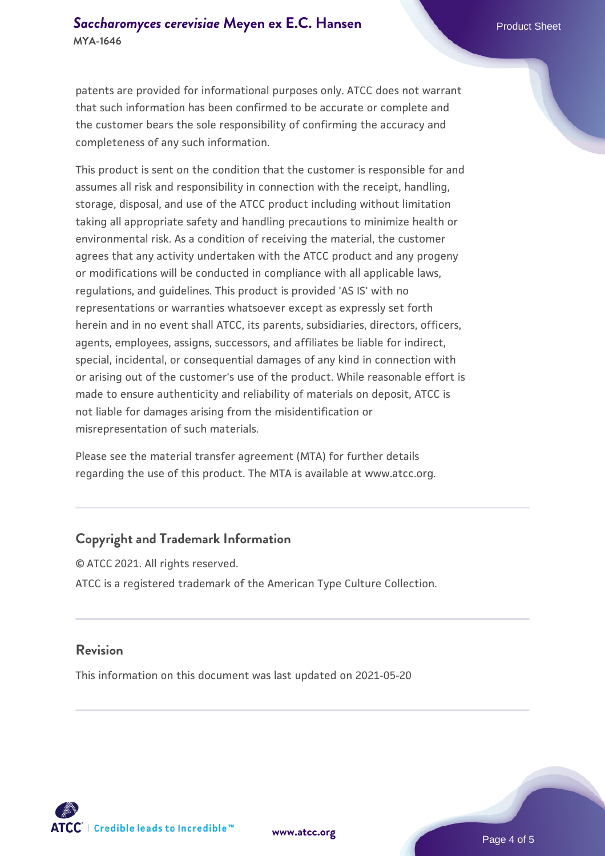#### **[Saccharomyces cerevisiae](https://www.atcc.org/products/mya-1646)** [Meyen ex E.C. Hansen](https://www.atcc.org/products/mya-1646) **MYA-1646**

patents are provided for informational purposes only. ATCC does not warrant that such information has been confirmed to be accurate or complete and the customer bears the sole responsibility of confirming the accuracy and completeness of any such information.

This product is sent on the condition that the customer is responsible for and assumes all risk and responsibility in connection with the receipt, handling, storage, disposal, and use of the ATCC product including without limitation taking all appropriate safety and handling precautions to minimize health or environmental risk. As a condition of receiving the material, the customer agrees that any activity undertaken with the ATCC product and any progeny or modifications will be conducted in compliance with all applicable laws, regulations, and guidelines. This product is provided 'AS IS' with no representations or warranties whatsoever except as expressly set forth herein and in no event shall ATCC, its parents, subsidiaries, directors, officers, agents, employees, assigns, successors, and affiliates be liable for indirect, special, incidental, or consequential damages of any kind in connection with or arising out of the customer's use of the product. While reasonable effort is made to ensure authenticity and reliability of materials on deposit, ATCC is not liable for damages arising from the misidentification or misrepresentation of such materials.

Please see the material transfer agreement (MTA) for further details regarding the use of this product. The MTA is available at www.atcc.org.

#### **Copyright and Trademark Information**

© ATCC 2021. All rights reserved. ATCC is a registered trademark of the American Type Culture Collection.

#### **Revision**

This information on this document was last updated on 2021-05-20